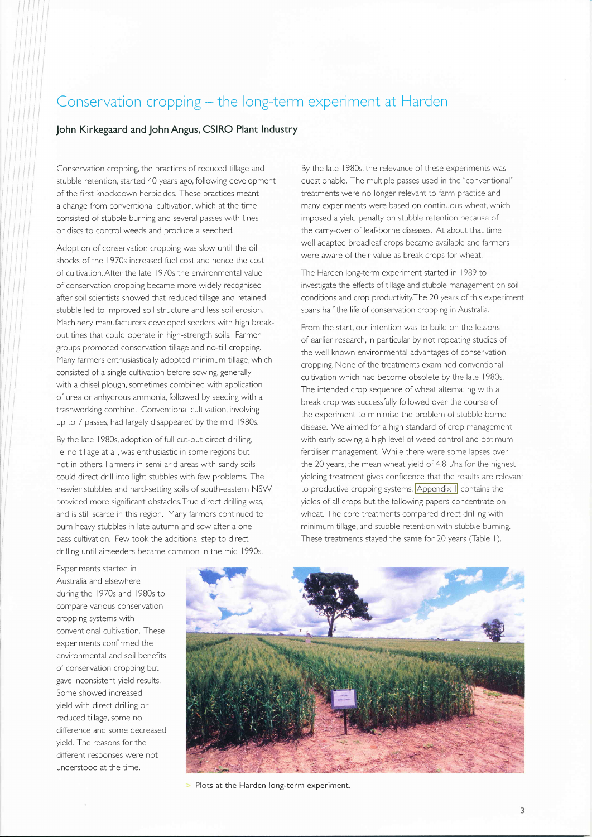# Conservation cropping – the long-term experiment at Harder

#### John Kirkegaard and John Angus, CSIRO Plant lndustry

Conservation cropping, the practices of reduced tillage and stubble retention, started 40 years ago, following development of the first knockdown herbicides. These practices meant a change from conventional cultivation, which at the time consisted of stubble burning and several passes with tines or discs to control weeds and produce a seedbed.

Adoption of conservation cropping was slow until the oil shocks of the 1970s increased fuel cost and hence the cost of cultivation, After the late 1970s the environmental value of conservation cropping became more widely recognised after soil scientists showed that reduced tillage and retained stubble led to improved soil structure and less soil erosion. Machinery manufacturers developed seeders with high breakout tines that could operate in high-strength soils. Farmer groups promoted conservation tillage and no-till cropping, Many farmers enthusiastically adopted minimum tillage, which consisted of a single cultivation before sowing, generally with a chisel plough, sometimes combined with application of urea or anhydrous ammonia, followed by seeding with <sup>a</sup> trashworking combine. Conventional cultivation, involving up to 7 passes, had largely disappeared by the mid 1980s.

By the late I 980s, adoption of full cut-out direct drilling, i,e. no tillage at all, was enthusiastic in some regions but not in others. Farmers in semi-arid areas with sandy soils could direct drill into light stubbles with few problems, The heavier stubbles and hard-setting soils of south-eastern NSW provided more signiflcant obstacles.True direct drilling was, and is still scarce in this region. Many farmers continued to burn heavy stubbles in late autumn and sow after a onepass cultivation. Few took the additional step to direct drilling until airseeders became common in the mid I 990s.

By the late I 980s, the relevance of these experiments was questionable. The multiple passes used in the "conventional" treatments were no longer relevant to farm practice and many experiments were based on continuous wheat, which imposed a yield penalty on stubble retention because of the carry-over of leaf-borne diseases, At about that time well adapted broadleaf crops became available and farmers were aware of their value as break crops for wheat.

The Harden long-term experiment started in I 989 to investigate the effects of tillage and stubble management on soil conditions and crop productivity.The 20 years of this experiment spans half the life of conservation cropping in Australia.

From the start, our intention was to build on the lessons of earlier research, in particular by not repeating studies of the well known environmental advantages of conservation cropping. None of the treatments examined conventional cultivation which had become obsolete by the late l9BOs. The intended crop sequence of wheat alternating with a break crop was successfully followed over the course of the experiment to minimise the problem of stubble-borne disease. We aimed for a high standard of crop management with early sowing, a high level of weed control and optimum fertiliser management, While there were some lapses over the 20 years, the mean wheat yield of 4.8 t/ha for the highest yielding treatment gives confldence that the results are relevant to productive cropping systems. [Appendix](http://www.hmlg.org.au/docs/symposium_2009/Symposium-2009_Appendix1.pdf) I contains the yields of all crops but the following papers concentrate on wheat, The core treatments compared direct drilling with minimum tillage, and stubble retention with stubble burning. These treatments stayed the same for 20 years (Table 1).

Experiments started in Australia and elsewhere during the 1970s and 1980s to compare various conservation cropping systems with conventional cultivation. These experiments conflrmed the environmental and soil benefits of conservation cropping but gave inconsistent yield results, Some showed increased yield with direct drilling or reduced tillage, some no difference and some decreased yield. The reasons for the different responses were not understood at the time.



> Plots at the Harden long-term experiment.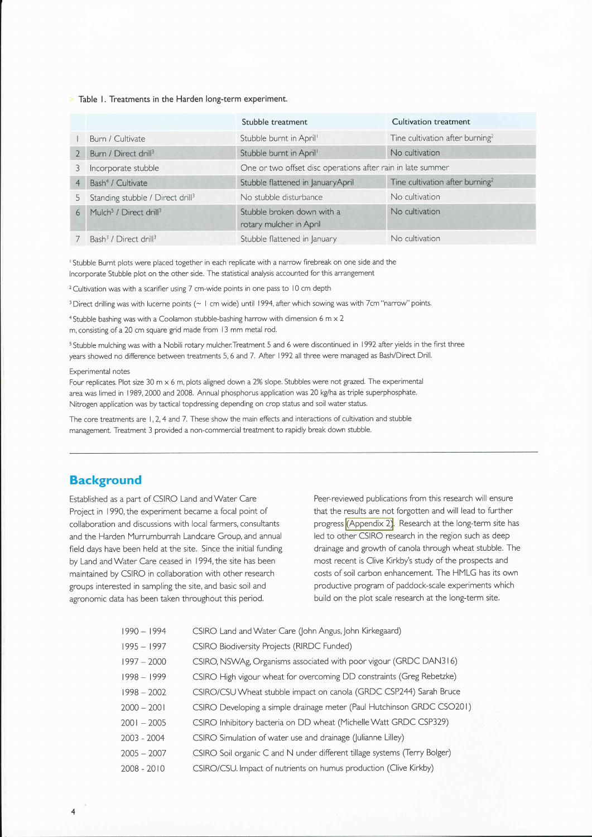#### $\ge$  Table 1. Treatments in the Harden long-term experiment.

|                |                                                | Stubble treatment                                           | Cultivation treatment                       |
|----------------|------------------------------------------------|-------------------------------------------------------------|---------------------------------------------|
|                | Burn / Cultivate                               | Stubble burnt in April <sup>1</sup>                         | Tine cultivation after burning <sup>2</sup> |
|                | Burn / Direct drill <sup>3</sup>               | Stubble burnt in April <sup>1</sup>                         | No cultivation                              |
| 3              | Incorporate stubble                            | One or two offset disc operations after rain in late summer |                                             |
| $\overline{4}$ | Bash <sup>4</sup> / Cultivate                  | Stubble flattened in JanuaryApril                           | Tine cultivation after burning <sup>2</sup> |
| 5              | Standing stubble / Direct drill <sup>3</sup>   | No stubble disturbance                                      | No cultivation                              |
| 6              | Mulch <sup>5</sup> / Direct drill <sup>3</sup> | Stubble broken down with a<br>rotary mulcher in April       | No cultivation                              |
|                | Bash <sup>3</sup> / Direct drill <sup>3</sup>  | Stubble flattened in January                                | No cultivation                              |

<sup>I</sup> Stubble Burnt plots were placed together in each replicate with a narrow firebreak on one side and the lncorporate Stubble plot on the other side. The statistical analysis accounted for this arrangement

<sup>2</sup> Cultivation was with a scarifier using 7 cm-wide points in one pass to 10 cm depth

<sup>3</sup> Direct drilling was with lucerne points (~ 1 cm wide) until 1994, after which sowing was with 7cm "narrow" points.

<sup>4</sup> Stubble bashing was with a Coolamon stubble-bashing harrow with dimension 6 m  $\times$  2 m, consisting of a 20 cm square grid made from | 3 mm metal rod.

<sup>5</sup> Stubble mulching was with a Nobili rotary mulcher. Treatment 5 and 6 were discontinued in 1992 after yields in the first three years showed no difference between treatments 5, 6 and 7. After 1992 all three were managed as Bash/Direct Drill.

#### Experimental notes

Four replicates. Plot size 30 m  $\times$  6 m, plots aligned down a 2% slope. Stubbles were not grazed. The experimental area was limed in I 989, 2000 and 2008. Annual phosphorus application was 20 kg/ha as triple superphosphate. Nitrogen application was by tactical topdressing depending on crop status and soil water status.

The core treatments are 1, 2, 4 and 7. These show the main effects and interactions of cultivation and stubble management. Treatment 3 provided a non-commercial treatment to rapidly break down stubble.

### **Background**

 $\overline{4}$ 

Established as a part of CSIRO Land and Water Care Project in 1990, the experiment became a focal point of collaboration and discussions with local farmers, consultants and the Harden Murrumburrah Landcare Group, and annual field days have been held at the site. Since the initial funding by Land and Water Care ceased in 1994, the site has been maintained by CSIRO in collaboration with other research groups interested in sampling the site, and basic soil and agronomic data has been taken throughout this period.

Peer-reviewed publications from this research will ensure that the results are not forgotten and will lead to further progress [\(Appendix](http://www.hmlg.org.au/docs/symposium_2009/Symposium-2009_Appendix2.pdf) 2). Research at the long-term site has led to other CSIRO research in the region such as deep drainage and growth of canola through wheat stubble. The most recent is Clive Kirkby's study of the prospects and costs of soil carbon enhancement. The HMLG has its own productive program of paddock-scale experiments which build on the plot scale research at the long-term site.

| 1990 - 1994   | CSIRO Land and Water Care (John Angus, John Kirkegaard)                   |
|---------------|---------------------------------------------------------------------------|
| $1995 - 1997$ | CSIRO Biodiversity Projects (RIRDC Funded)                                |
| $1997 - 2000$ | CSIRO, NSWAg, Organisms associated with poor vigour (GRDC DAN316)         |
| $1998 - 1999$ | CSIRO High vigour wheat for overcoming DD constraints (Greg Rebetzke)     |
| $1998 - 2002$ | CSIRO/CSU Wheat stubble impact on canola (GRDC CSP244) Sarah Bruce        |
| 2000 - 2001   | CSIRO Developing a simple drainage meter (Paul Hutchinson GRDC CSO201)    |
| 2001 - 2005   | CSIRO Inhibitory bacteria on DD wheat (Michelle Watt GRDC CSP329)         |
| 2003 - 2004   | CSIRO Simulation of water use and drainage (Julianne Lilley)              |
| 2005 - 2007   | CSIRO Soil organic C and N under different tillage systems (Terry Bolger) |
| 2008 - 2010   | CSIRO/CSU. Impact of nutrients on humus production (Clive Kirkby)         |